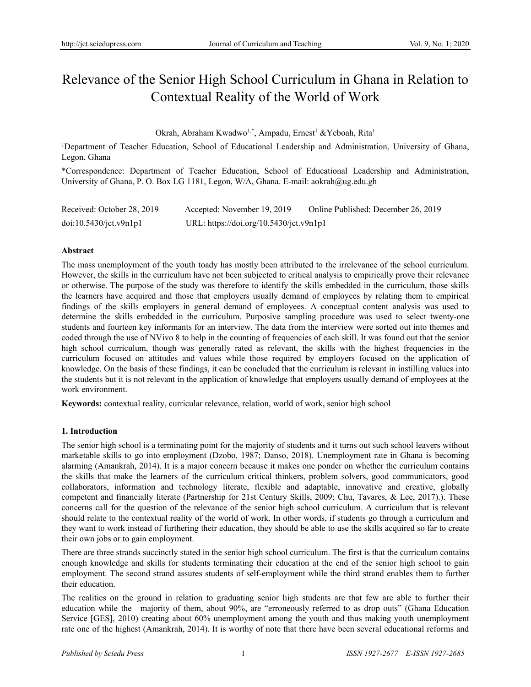# Relevance of the Senior High School Curriculum in Ghana in Relation to Contextual Reality of the World of Work

Okrah, Abraham Kwadwo<sup>1,\*</sup>, Ampadu, Ernest<sup>1</sup> & Yeboah, Rita<sup>1</sup>

<sup>1</sup>Department of Teacher Education, School of Educational Leadership and Administration, University of Ghana, Legon, Ghana

\*Correspondence: Department of Teacher Education, School of Educational Leadership and Administration, University of Ghana, P. O. Box LG 1181, Legon, W/A, Ghana. E-mail: aokrah@ug.edu.gh

| Received: October 28, 2019 | Accepted: November 19, 2019             | Online Published: December 26, 2019 |
|----------------------------|-----------------------------------------|-------------------------------------|
| doi:10.5430/ict.v9n1p1     | URL: https://doi.org/10.5430/jct.v9n1p1 |                                     |

## **Abstract**

The mass unemployment of the youth toady has mostly been attributed to the irrelevance of the school curriculum. However, the skills in the curriculum have not been subjected to critical analysis to empirically prove their relevance or otherwise. The purpose of the study was therefore to identify the skills embedded in the curriculum, those skills the learners have acquired and those that employers usually demand of employees by relating them to empirical findings of the skills employers in general demand of employees. A conceptual content analysis was used to determine the skills embedded in the curriculum. Purposive sampling procedure was used to select twenty-one students and fourteen key informants for an interview. The data from the interview were sorted out into themes and coded through the use of NVivo 8 to help in the counting of frequencies of each skill. It was found out that the senior high school curriculum, though was generally rated as relevant, the skills with the highest frequencies in the curriculum focused on attitudes and values while those required by employers focused on the application of knowledge. On the basis of these findings, it can be concluded that the curriculum is relevant in instilling values into the students but it is not relevant in the application of knowledge that employers usually demand of employees at the work environment.

**Keywords:** contextual reality, curricular relevance, relation, world of work, senior high school

## **1. Introduction**

The senior high school is a terminating point for the majority of students and it turns out such school leavers without marketable skills to go into employment (Dzobo, 1987; Danso, 2018). Unemployment rate in Ghana is becoming alarming (Amankrah, 2014). It is a major concern because it makes one ponder on whether the curriculum contains the skills that make the learners of the curriculum critical thinkers, problem solvers, good communicators, good collaborators, information and technology literate, flexible and adaptable, innovative and creative, globally competent and financially literate (Partnership for 21st Century Skills, 2009; Chu, Tavares, & Lee, 2017).). These concerns call for the question of the relevance of the senior high school curriculum. A curriculum that is relevant should relate to the contextual reality of the world of work. In other words, if students go through a curriculum and they want to work instead of furthering their education, they should be able to use the skills acquired so far to create their own jobs or to gain employment.

There are three strands succinctly stated in the senior high school curriculum. The first is that the curriculum contains enough knowledge and skills for students terminating their education at the end of the senior high school to gain employment. The second strand assures students of self-employment while the third strand enables them to further their education.

The realities on the ground in relation to graduating senior high students are that few are able to further their education while the majority of them, about 90%, are "erroneously referred to as drop outs" (Ghana Education Service [GES], 2010) creating about 60% unemployment among the youth and thus making youth unemployment rate one of the highest (Amankrah, 2014). It is worthy of note that there have been several educational reforms and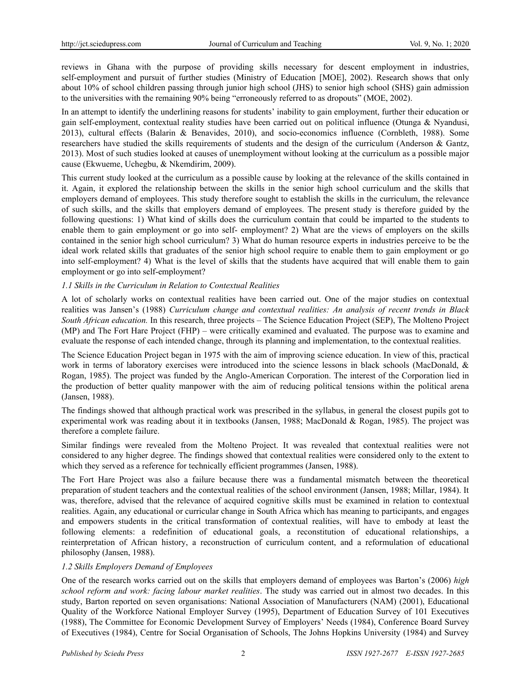reviews in Ghana with the purpose of providing skills necessary for descent employment in industries, self-employment and pursuit of further studies (Ministry of Education [MOE], 2002). Research shows that only about 10% of school children passing through junior high school (JHS) to senior high school (SHS) gain admission to the universities with the remaining 90% being "erroneously referred to as dropouts" (MOE, 2002).

In an attempt to identify the underlining reasons for students' inability to gain employment, further their education or gain self-employment, contextual reality studies have been carried out on political influence (Otunga & Nyandusi, 2013), cultural effects (Balarin & Benavides, 2010), and socio-economics influence (Cornbleth, 1988). Some researchers have studied the skills requirements of students and the design of the curriculum (Anderson & Gantz, 2013). Most of such studies looked at causes of unemployment without looking at the curriculum as a possible major cause (Ekwueme, Uchegbu, & Nkemdirim, 2009).

This current study looked at the curriculum as a possible cause by looking at the relevance of the skills contained in it. Again, it explored the relationship between the skills in the senior high school curriculum and the skills that employers demand of employees. This study therefore sought to establish the skills in the curriculum, the relevance of such skills, and the skills that employers demand of employees. The present study is therefore guided by the following questions: 1) What kind of skills does the curriculum contain that could be imparted to the students to enable them to gain employment or go into self- employment? 2) What are the views of employers on the skills contained in the senior high school curriculum? 3) What do human resource experts in industries perceive to be the ideal work related skills that graduates of the senior high school require to enable them to gain employment or go into self-employment? 4) What is the level of skills that the students have acquired that will enable them to gain employment or go into self-employment?

## *1.1 Skills in the Curriculum in Relation to Contextual Realities*

A lot of scholarly works on contextual realities have been carried out. One of the major studies on contextual realities was Jansen's (1988) *Curriculum change and contextual realities: An analysis of recent trends in Black South African education.* In this research, three projects – The Science Education Project (SEP), The Molteno Project (MP) and The Fort Hare Project (FHP) – were critically examined and evaluated. The purpose was to examine and evaluate the response of each intended change, through its planning and implementation, to the contextual realities.

The Science Education Project began in 1975 with the aim of improving science education. In view of this, practical work in terms of laboratory exercises were introduced into the science lessons in black schools (MacDonald, & Rogan, 1985). The project was funded by the Anglo-American Corporation. The interest of the Corporation lied in the production of better quality manpower with the aim of reducing political tensions within the political arena (Jansen, 1988).

The findings showed that although practical work was prescribed in the syllabus, in general the closest pupils got to experimental work was reading about it in textbooks (Jansen, 1988; MacDonald & Rogan, 1985). The project was therefore a complete failure.

Similar findings were revealed from the Molteno Project. It was revealed that contextual realities were not considered to any higher degree. The findings showed that contextual realities were considered only to the extent to which they served as a reference for technically efficient programmes (Jansen, 1988).

The Fort Hare Project was also a failure because there was a fundamental mismatch between the theoretical preparation of student teachers and the contextual realities of the school environment (Jansen, 1988; Millar, 1984). It was, therefore, advised that the relevance of acquired cognitive skills must be examined in relation to contextual realities. Again, any educational or curricular change in South Africa which has meaning to participants, and engages and empowers students in the critical transformation of contextual realities, will have to embody at least the following elements: a redefinition of educational goals, a reconstitution of educational relationships, a reinterpretation of African history, a reconstruction of curriculum content, and a reformulation of educational philosophy (Jansen, 1988).

## *1.2 Skills Employers Demand of Employees*

One of the research works carried out on the skills that employers demand of employees was Barton's (2006) *high school reform and work: facing labour market realities*. The study was carried out in almost two decades. In this study, Barton reported on seven organisations: National Association of Manufacturers (NAM) (2001), Educational Quality of the Workforce National Employer Survey (1995), Department of Education Survey of 101 Executives (1988), The Committee for Economic Development Survey of Employers' Needs (1984), Conference Board Survey of Executives (1984), Centre for Social Organisation of Schools, The Johns Hopkins University (1984) and Survey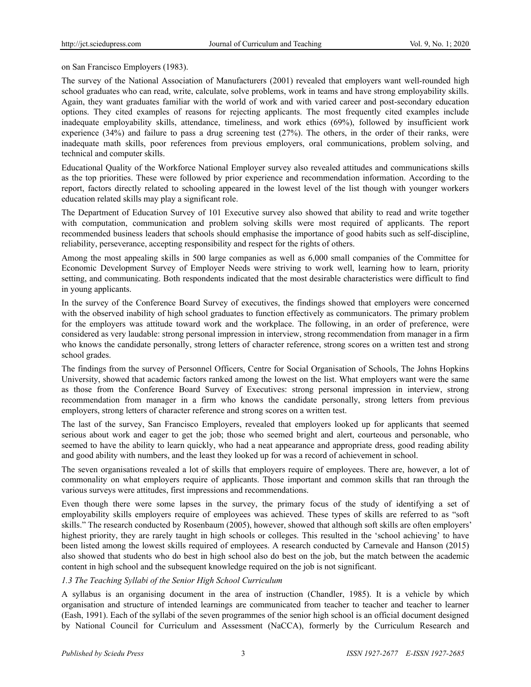on San Francisco Employers (1983).

The survey of the National Association of Manufacturers (2001) revealed that employers want well-rounded high school graduates who can read, write, calculate, solve problems, work in teams and have strong employability skills. Again, they want graduates familiar with the world of work and with varied career and post-secondary education options. They cited examples of reasons for rejecting applicants. The most frequently cited examples include inadequate employability skills, attendance, timeliness, and work ethics (69%), followed by insufficient work experience (34%) and failure to pass a drug screening test (27%). The others, in the order of their ranks, were inadequate math skills, poor references from previous employers, oral communications, problem solving, and technical and computer skills.

Educational Quality of the Workforce National Employer survey also revealed attitudes and communications skills as the top priorities. These were followed by prior experience and recommendation information. According to the report, factors directly related to schooling appeared in the lowest level of the list though with younger workers education related skills may play a significant role.

The Department of Education Survey of 101 Executive survey also showed that ability to read and write together with computation, communication and problem solving skills were most required of applicants. The report recommended business leaders that schools should emphasise the importance of good habits such as self-discipline, reliability, perseverance, accepting responsibility and respect for the rights of others.

Among the most appealing skills in 500 large companies as well as 6,000 small companies of the Committee for Economic Development Survey of Employer Needs were striving to work well, learning how to learn, priority setting, and communicating. Both respondents indicated that the most desirable characteristics were difficult to find in young applicants.

In the survey of the Conference Board Survey of executives, the findings showed that employers were concerned with the observed inability of high school graduates to function effectively as communicators. The primary problem for the employers was attitude toward work and the workplace. The following, in an order of preference, were considered as very laudable: strong personal impression in interview, strong recommendation from manager in a firm who knows the candidate personally, strong letters of character reference, strong scores on a written test and strong school grades.

The findings from the survey of Personnel Officers, Centre for Social Organisation of Schools, The Johns Hopkins University, showed that academic factors ranked among the lowest on the list. What employers want were the same as those from the Conference Board Survey of Executives: strong personal impression in interview, strong recommendation from manager in a firm who knows the candidate personally, strong letters from previous employers, strong letters of character reference and strong scores on a written test.

The last of the survey, San Francisco Employers, revealed that employers looked up for applicants that seemed serious about work and eager to get the job; those who seemed bright and alert, courteous and personable, who seemed to have the ability to learn quickly, who had a neat appearance and appropriate dress, good reading ability and good ability with numbers, and the least they looked up for was a record of achievement in school.

The seven organisations revealed a lot of skills that employers require of employees. There are, however, a lot of commonality on what employers require of applicants. Those important and common skills that ran through the various surveys were attitudes, first impressions and recommendations.

Even though there were some lapses in the survey, the primary focus of the study of identifying a set of employability skills employers require of employees was achieved. These types of skills are referred to as "soft skills." The research conducted by Rosenbaum (2005), however, showed that although soft skills are often employers' highest priority, they are rarely taught in high schools or colleges. This resulted in the 'school achieving' to have been listed among the lowest skills required of employees. A research conducted by Carnevale and Hanson (2015) also showed that students who do best in high school also do best on the job, but the match between the academic content in high school and the subsequent knowledge required on the job is not significant.

# *1.3 The Teaching Syllabi of the Senior High School Curriculum*

A syllabus is an organising document in the area of instruction (Chandler, 1985). It is a vehicle by which organisation and structure of intended learnings are communicated from teacher to teacher and teacher to learner (Eash, 1991). Each of the syllabi of the seven programmes of the senior high school is an official document designed by National Council for Curriculum and Assessment (NaCCA), formerly by the Curriculum Research and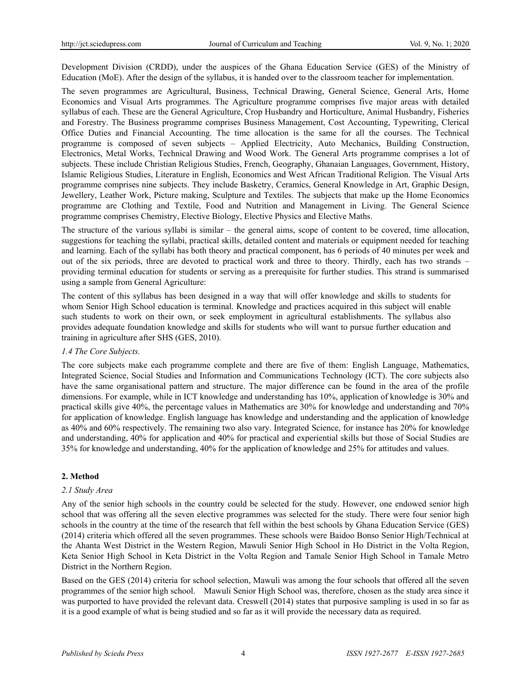Development Division (CRDD), under the auspices of the Ghana Education Service (GES) of the Ministry of Education (MoE). After the design of the syllabus, it is handed over to the classroom teacher for implementation.

The seven programmes are Agricultural, Business, Technical Drawing, General Science, General Arts, Home Economics and Visual Arts programmes. The Agriculture programme comprises five major areas with detailed syllabus of each. These are the General Agriculture, Crop Husbandry and Horticulture, Animal Husbandry, Fisheries and Forestry. The Business programme comprises Business Management, Cost Accounting, Typewriting, Clerical Office Duties and Financial Accounting. The time allocation is the same for all the courses. The Technical programme is composed of seven subjects – Applied Electricity, Auto Mechanics, Building Construction, Electronics, Metal Works, Technical Drawing and Wood Work. The General Arts programme comprises a lot of subjects. These include Christian Religious Studies, French, Geography, Ghanaian Languages, Government, History, Islamic Religious Studies, Literature in English, Economics and West African Traditional Religion. The Visual Arts programme comprises nine subjects. They include Basketry, Ceramics, General Knowledge in Art, Graphic Design, Jewellery, Leather Work, Picture making, Sculpture and Textiles. The subjects that make up the Home Economics programme are Clothing and Textile, Food and Nutrition and Management in Living. The General Science programme comprises Chemistry, Elective Biology, Elective Physics and Elective Maths.

The structure of the various syllabi is similar – the general aims, scope of content to be covered, time allocation, suggestions for teaching the syllabi, practical skills, detailed content and materials or equipment needed for teaching and learning. Each of the syllabi has both theory and practical component, has 6 periods of 40 minutes per week and out of the six periods, three are devoted to practical work and three to theory. Thirdly, each has two strands – providing terminal education for students or serving as a prerequisite for further studies. This strand is summarised using a sample from General Agriculture:

The content of this syllabus has been designed in a way that will offer knowledge and skills to students for whom Senior High School education is terminal. Knowledge and practices acquired in this subject will enable such students to work on their own, or seek employment in agricultural establishments. The syllabus also provides adequate foundation knowledge and skills for students who will want to pursue further education and training in agriculture after SHS (GES, 2010).

## *1.4 The Core Subjects.*

The core subjects make each programme complete and there are five of them: English Language, Mathematics, Integrated Science, Social Studies and Information and Communications Technology (ICT). The core subjects also have the same organisational pattern and structure. The major difference can be found in the area of the profile dimensions. For example, while in ICT knowledge and understanding has 10%, application of knowledge is 30% and practical skills give 40%, the percentage values in Mathematics are 30% for knowledge and understanding and 70% for application of knowledge. English language has knowledge and understanding and the application of knowledge as 40% and 60% respectively. The remaining two also vary. Integrated Science, for instance has 20% for knowledge and understanding, 40% for application and 40% for practical and experiential skills but those of Social Studies are 35% for knowledge and understanding, 40% for the application of knowledge and 25% for attitudes and values.

## **2. Method**

## *2.1 Study Area*

Any of the senior high schools in the country could be selected for the study. However, one endowed senior high school that was offering all the seven elective programmes was selected for the study. There were four senior high schools in the country at the time of the research that fell within the best schools by Ghana Education Service (GES) (2014) criteria which offered all the seven programmes. These schools were Baidoo Bonso Senior High/Technical at the Ahanta West District in the Western Region, Mawuli Senior High School in Ho District in the Volta Region, Keta Senior High School in Keta District in the Volta Region and Tamale Senior High School in Tamale Metro District in the Northern Region.

Based on the GES (2014) criteria for school selection, Mawuli was among the four schools that offered all the seven programmes of the senior high school. Mawuli Senior High School was, therefore, chosen as the study area since it was purported to have provided the relevant data. Creswell (2014) states that purposive sampling is used in so far as it is a good example of what is being studied and so far as it will provide the necessary data as required.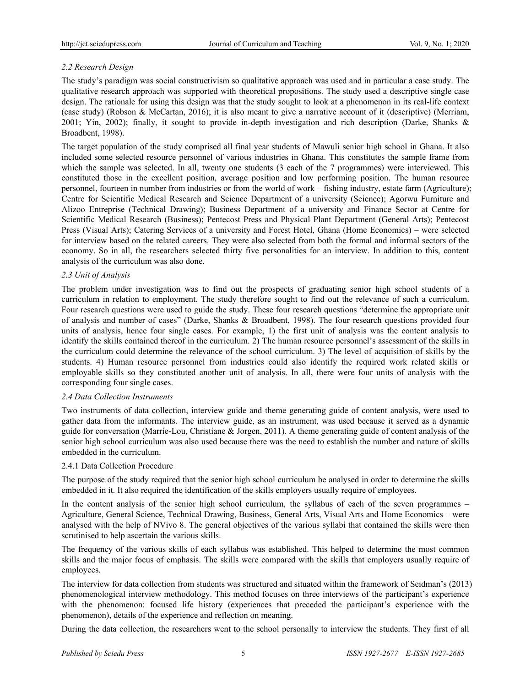## *2.2 Research Design*

The study's paradigm was social constructivism so qualitative approach was used and in particular a case study. The qualitative research approach was supported with theoretical propositions. The study used a descriptive single case design. The rationale for using this design was that the study sought to look at a phenomenon in its real-life context (case study) (Robson & McCartan, 2016); it is also meant to give a narrative account of it (descriptive) (Merriam, 2001; Yin, 2002); finally, it sought to provide in-depth investigation and rich description (Darke, Shanks & Broadbent, 1998).

The target population of the study comprised all final year students of Mawuli senior high school in Ghana. It also included some selected resource personnel of various industries in Ghana. This constitutes the sample frame from which the sample was selected. In all, twenty one students (3 each of the 7 programmes) were interviewed. This constituted those in the excellent position, average position and low performing position. The human resource personnel, fourteen in number from industries or from the world of work – fishing industry, estate farm (Agriculture); Centre for Scientific Medical Research and Science Department of a university (Science); Agorwu Furniture and Alizoo Entreprise (Technical Drawing); Business Department of a university and Finance Sector at Centre for Scientific Medical Research (Business); Pentecost Press and Physical Plant Department (General Arts); Pentecost Press (Visual Arts); Catering Services of a university and Forest Hotel, Ghana (Home Economics) – were selected for interview based on the related careers. They were also selected from both the formal and informal sectors of the economy. So in all, the researchers selected thirty five personalities for an interview. In addition to this, content analysis of the curriculum was also done.

## *2.3 Unit of Analysis*

The problem under investigation was to find out the prospects of graduating senior high school students of a curriculum in relation to employment. The study therefore sought to find out the relevance of such a curriculum. Four research questions were used to guide the study. These four research questions "determine the appropriate unit of analysis and number of cases" (Darke, Shanks & Broadbent, 1998). The four research questions provided four units of analysis, hence four single cases. For example, 1) the first unit of analysis was the content analysis to identify the skills contained thereof in the curriculum. 2) The human resource personnel's assessment of the skills in the curriculum could determine the relevance of the school curriculum. 3) The level of acquisition of skills by the students. 4) Human resource personnel from industries could also identify the required work related skills or employable skills so they constituted another unit of analysis. In all, there were four units of analysis with the corresponding four single cases.

#### *2.4 Data Collection Instruments*

Two instruments of data collection, interview guide and theme generating guide of content analysis, were used to gather data from the informants. The interview guide, as an instrument, was used because it served as a dynamic guide for conversation (Marrie-Lou, Christiane & Jorgen, 2011). A theme generating guide of content analysis of the senior high school curriculum was also used because there was the need to establish the number and nature of skills embedded in the curriculum.

## 2.4.1 Data Collection Procedure

The purpose of the study required that the senior high school curriculum be analysed in order to determine the skills embedded in it. It also required the identification of the skills employers usually require of employees.

In the content analysis of the senior high school curriculum, the syllabus of each of the seven programmes – Agriculture, General Science, Technical Drawing, Business, General Arts, Visual Arts and Home Economics – were analysed with the help of NVivo 8. The general objectives of the various syllabi that contained the skills were then scrutinised to help ascertain the various skills.

The frequency of the various skills of each syllabus was established. This helped to determine the most common skills and the major focus of emphasis. The skills were compared with the skills that employers usually require of employees.

The interview for data collection from students was structured and situated within the framework of Seidman's (2013) phenomenological interview methodology. This method focuses on three interviews of the participant's experience with the phenomenon: focused life history (experiences that preceded the participant's experience with the phenomenon), details of the experience and reflection on meaning.

During the data collection, the researchers went to the school personally to interview the students. They first of all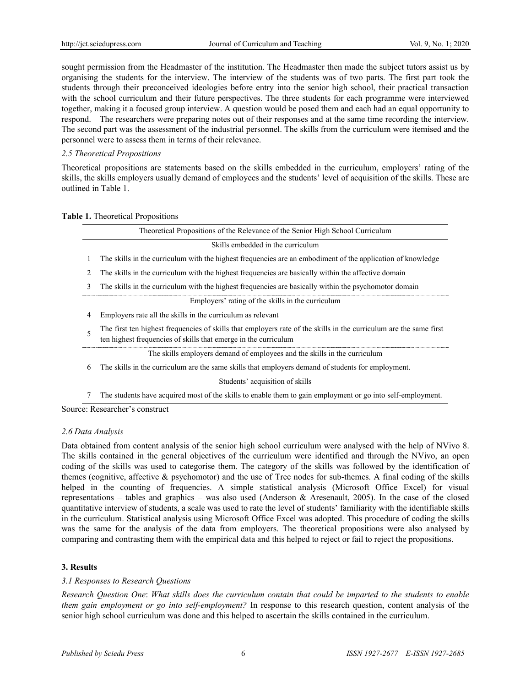sought permission from the Headmaster of the institution. The Headmaster then made the subject tutors assist us by organising the students for the interview. The interview of the students was of two parts. The first part took the students through their preconceived ideologies before entry into the senior high school, their practical transaction with the school curriculum and their future perspectives. The three students for each programme were interviewed together, making it a focused group interview. A question would be posed them and each had an equal opportunity to respond. The researchers were preparing notes out of their responses and at the same time recording the interview. The second part was the assessment of the industrial personnel. The skills from the curriculum were itemised and the personnel were to assess them in terms of their relevance.

## *2.5 Theoretical Propositions*

Theoretical propositions are statements based on the skills embedded in the curriculum, employers' rating of the skills, the skills employers usually demand of employees and the students' level of acquisition of the skills. These are outlined in Table 1.

#### **Table 1.** Theoretical Propositions

|   | Theoretical Propositions of the Relevance of the Senior High School Curriculum                                                                                                        |
|---|---------------------------------------------------------------------------------------------------------------------------------------------------------------------------------------|
|   | Skills embedded in the curriculum                                                                                                                                                     |
|   | The skills in the curriculum with the highest frequencies are an embodiment of the application of knowledge                                                                           |
| 2 | The skills in the curriculum with the highest frequencies are basically within the affective domain                                                                                   |
| 3 | The skills in the curriculum with the highest frequencies are basically within the psychomotor domain                                                                                 |
|   | Employers' rating of the skills in the curriculum                                                                                                                                     |
| 4 | Employers rate all the skills in the curriculum as relevant                                                                                                                           |
| 5 | The first ten highest frequencies of skills that employers rate of the skills in the curriculum are the same first<br>ten highest frequencies of skills that emerge in the curriculum |
|   | The skills employers demand of employees and the skills in the curriculum                                                                                                             |
| 6 | The skills in the curriculum are the same skills that employers demand of students for employment.                                                                                    |
|   | Students' acquisition of skills                                                                                                                                                       |

7 The students have acquired most of the skills to enable them to gain employment or go into self-employment.

Source: Researcher's construct

## *2.6 Data Analysis*

Data obtained from content analysis of the senior high school curriculum were analysed with the help of NVivo 8. The skills contained in the general objectives of the curriculum were identified and through the NVivo, an open coding of the skills was used to categorise them. The category of the skills was followed by the identification of themes (cognitive, affective & psychomotor) and the use of Tree nodes for sub-themes. A final coding of the skills helped in the counting of frequencies. A simple statistical analysis (Microsoft Office Excel) for visual representations – tables and graphics – was also used (Anderson & Aresenault, 2005). In the case of the closed quantitative interview of students, a scale was used to rate the level of students' familiarity with the identifiable skills in the curriculum. Statistical analysis using Microsoft Office Excel was adopted. This procedure of coding the skills was the same for the analysis of the data from employers. The theoretical propositions were also analysed by comparing and contrasting them with the empirical data and this helped to reject or fail to reject the propositions.

## **3. Results**

## *3.1 Responses to Research Questions*

*Research Question One*: *What skills does the curriculum contain that could be imparted to the students to enable them gain employment or go into self-employment?* In response to this research question, content analysis of the senior high school curriculum was done and this helped to ascertain the skills contained in the curriculum.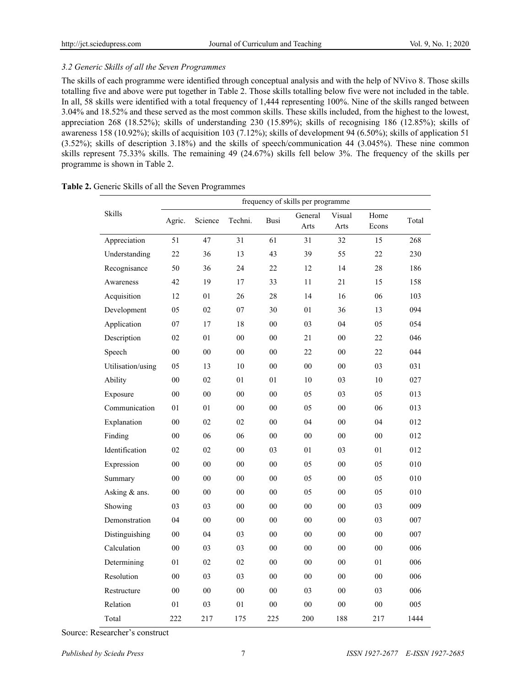## *3.2 Generic Skills of all the Seven Programmes*

The skills of each programme were identified through conceptual analysis and with the help of NVivo 8. Those skills totalling five and above were put together in Table 2. Those skills totalling below five were not included in the table. In all, 58 skills were identified with a total frequency of 1,444 representing 100%. Nine of the skills ranged between 3.04% and 18.52% and these served as the most common skills. These skills included, from the highest to the lowest, appreciation 268 (18.52%); skills of understanding 230 (15.89%); skills of recognising 186 (12.85%); skills of awareness 158 (10.92%); skills of acquisition 103 (7.12%); skills of development 94 (6.50%); skills of application 51 (3.52%); skills of description 3.18%) and the skills of speech/communication 44 (3.045%). These nine common skills represent 75.33% skills. The remaining 49 (24.67%) skills fell below 3%. The frequency of the skills per programme is shown in Table 2.

|                   | frequency of skills per programme |         |         |        |                 |                |               |       |
|-------------------|-----------------------------------|---------|---------|--------|-----------------|----------------|---------------|-------|
| <b>Skills</b>     | Agric.                            | Science | Techni. | Busi   | General<br>Arts | Visual<br>Arts | Home<br>Econs | Total |
| Appreciation      | 51                                | 47      | 31      | 61     | 31              | 32             | 15            | 268   |
| Understanding     | 22                                | 36      | 13      | 43     | 39              | 55             | 22            | 230   |
| Recognisance      | 50                                | 36      | 24      | 22     | 12              | 14             | 28            | 186   |
| Awareness         | 42                                | 19      | 17      | 33     | 11              | 21             | 15            | 158   |
| Acquisition       | 12                                | 01      | 26      | 28     | 14              | 16             | 06            | 103   |
| Development       | 05                                | 02      | 07      | 30     | 01              | 36             | 13            | 094   |
| Application       | 07                                | 17      | 18      | $00\,$ | 03              | 04             | 05            | 054   |
| Description       | 02                                | 01      | 00      | $00\,$ | 21              | 00             | 22            | 046   |
| Speech            | 00                                | 00      | 00      | $00\,$ | 22              | 00             | 22            | 044   |
| Utilisation/using | 05                                | 13      | 10      | $00\,$ | 00              | 00             | 03            | 031   |
| Ability           | 00                                | 02      | 01      | 01     | 10              | 03             | 10            | 027   |
| Exposure          | 00                                | 00      | 00      | $00\,$ | 05              | 03             | 05            | 013   |
| Communication     | 01                                | 01      | 00      | $00\,$ | 05              | 00             | 06            | 013   |
| Explanation       | 00                                | 02      | 02      | $00\,$ | 04              | 00             | 04            | 012   |
| Finding           | 00                                | 06      | 06      | 00     | 00              | 00             | 00            | 012   |
| Identification    | 02                                | 02      | 00      | 03     | 01              | 03             | 01            | 012   |
| Expression        | 00                                | 00      | 00      | $00\,$ | 05              | 00             | 05            | 010   |
| Summary           | 00                                | 00      | 00      | 00     | 05              | 00             | 05            | 010   |
| Asking & ans.     | 00                                | 00      | 00      | $00\,$ | 05              | 00             | 05            | 010   |
| Showing           | 03                                | 03      | 00      | 00     | 00              | 00             | 03            | 009   |
| Demonstration     | 04                                | 00      | 00      | 00     | 00              | 00             | 03            | 007   |
| Distinguishing    | 00                                | 04      | 03      | 00     | 00              | 00             | 00            | 007   |
| Calculation       | 00                                | 03      | 03      | 00     | 00              | 00             | 00            | 006   |
| Determining       | 01                                | 02      | 02      | 00     | 00              | 00             | 01            | 006   |
| Resolution        | 00                                | 03      | 03      | $00\,$ | 00              | 00             | 00            | 006   |
| Restructure       | 00                                | 00      | $00\,$  | $00\,$ | 03              | 00             | 03            | 006   |
| Relation          | 01                                | 03      | 01      | 00     | $00\,$          | 00             | 00            | 005   |
| Total             | 222                               | 217     | 175     | 225    | 200             | 188            | 217           | 1444  |

#### **Table 2.** Generic Skills of all the Seven Programmes

Source: Researcher's construct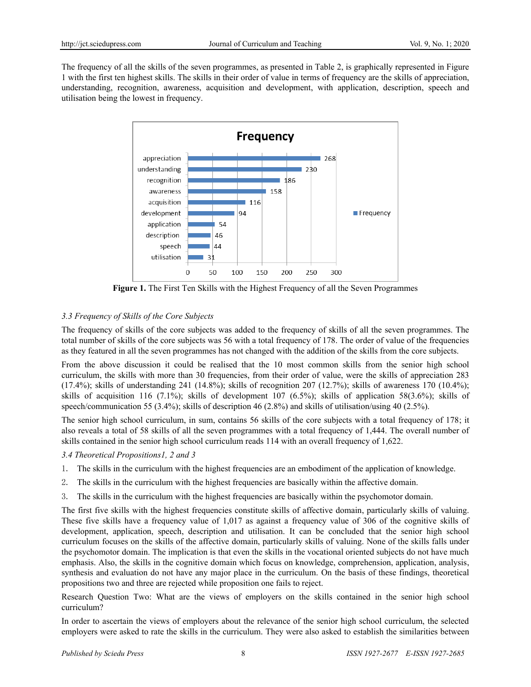The frequency of all the skills of the seven programmes, as presented in Table 2, is graphically represented in Figure 1 with the first ten highest skills. The skills in their order of value in terms of frequency are the skills of appreciation, understanding, recognition, awareness, acquisition and development, with application, description, speech and utilisation being the lowest in frequency.



**Figure 1.** The First Ten Skills with the Highest Frequency of all the Seven Programmes

# *3.3 Frequency of Skills of the Core Subjects*

The frequency of skills of the core subjects was added to the frequency of skills of all the seven programmes. The total number of skills of the core subjects was 56 with a total frequency of 178. The order of value of the frequencies as they featured in all the seven programmes has not changed with the addition of the skills from the core subjects.

From the above discussion it could be realised that the 10 most common skills from the senior high school curriculum, the skills with more than 30 frequencies, from their order of value, were the skills of appreciation 283 (17.4%); skills of understanding 241 (14.8%); skills of recognition 207 (12.7%); skills of awareness 170 (10.4%); skills of acquisition 116 (7.1%); skills of development 107 (6.5%); skills of application 58(3.6%); skills of speech/communication 55 (3.4%); skills of description 46 (2.8%) and skills of utilisation/using 40 (2.5%).

The senior high school curriculum, in sum, contains 56 skills of the core subjects with a total frequency of 178; it also reveals a total of 58 skills of all the seven programmes with a total frequency of 1,444. The overall number of skills contained in the senior high school curriculum reads 114 with an overall frequency of 1,622.

## *3.4 Theoretical Propositions1, 2 and 3*

- 1. The skills in the curriculum with the highest frequencies are an embodiment of the application of knowledge.
- 2. The skills in the curriculum with the highest frequencies are basically within the affective domain.
- 3. The skills in the curriculum with the highest frequencies are basically within the psychomotor domain.

The first five skills with the highest frequencies constitute skills of affective domain, particularly skills of valuing. These five skills have a frequency value of 1,017 as against a frequency value of 306 of the cognitive skills of development, application, speech, description and utilisation. It can be concluded that the senior high school curriculum focuses on the skills of the affective domain, particularly skills of valuing. None of the skills falls under the psychomotor domain. The implication is that even the skills in the vocational oriented subjects do not have much emphasis. Also, the skills in the cognitive domain which focus on knowledge, comprehension, application, analysis, synthesis and evaluation do not have any major place in the curriculum. On the basis of these findings, theoretical propositions two and three are rejected while proposition one fails to reject.

Research Question Two: What are the views of employers on the skills contained in the senior high school curriculum?

In order to ascertain the views of employers about the relevance of the senior high school curriculum, the selected employers were asked to rate the skills in the curriculum. They were also asked to establish the similarities between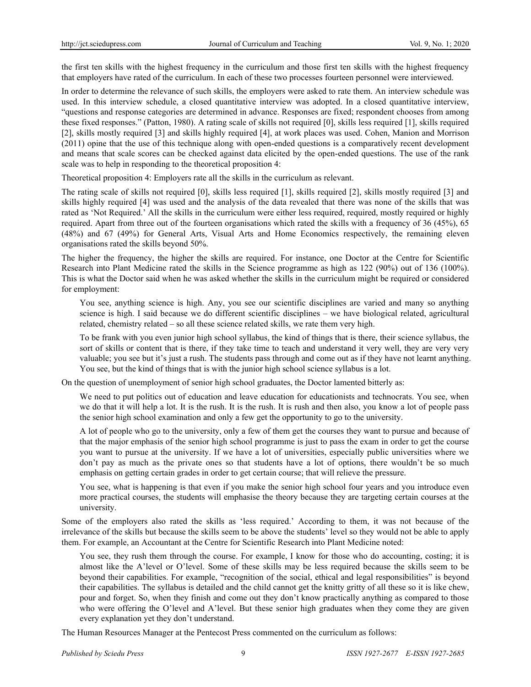the first ten skills with the highest frequency in the curriculum and those first ten skills with the highest frequency that employers have rated of the curriculum. In each of these two processes fourteen personnel were interviewed.

In order to determine the relevance of such skills, the employers were asked to rate them. An interview schedule was used. In this interview schedule, a closed quantitative interview was adopted. In a closed quantitative interview, "questions and response categories are determined in advance. Responses are fixed; respondent chooses from among these fixed responses." (Patton, 1980). A rating scale of skills not required [0], skills less required [1], skills required [2], skills mostly required [3] and skills highly required [4], at work places was used. Cohen, Manion and Morrison (2011) opine that the use of this technique along with open-ended questions is a comparatively recent development and means that scale scores can be checked against data elicited by the open-ended questions. The use of the rank scale was to help in responding to the theoretical proposition 4:

Theoretical proposition 4: Employers rate all the skills in the curriculum as relevant.

The rating scale of skills not required [0], skills less required [1], skills required [2], skills mostly required [3] and skills highly required [4] was used and the analysis of the data revealed that there was none of the skills that was rated as 'Not Required.' All the skills in the curriculum were either less required, required, mostly required or highly required. Apart from three out of the fourteen organisations which rated the skills with a frequency of 36 (45%), 65 (48%) and 67 (49%) for General Arts, Visual Arts and Home Economics respectively, the remaining eleven organisations rated the skills beyond 50%.

The higher the frequency, the higher the skills are required. For instance, one Doctor at the Centre for Scientific Research into Plant Medicine rated the skills in the Science programme as high as 122 (90%) out of 136 (100%). This is what the Doctor said when he was asked whether the skills in the curriculum might be required or considered for employment:

You see, anything science is high. Any, you see our scientific disciplines are varied and many so anything science is high. I said because we do different scientific disciplines – we have biological related, agricultural related, chemistry related – so all these science related skills, we rate them very high.

To be frank with you even junior high school syllabus, the kind of things that is there, their science syllabus, the sort of skills or content that is there, if they take time to teach and understand it very well, they are very very valuable; you see but it's just a rush. The students pass through and come out as if they have not learnt anything. You see, but the kind of things that is with the junior high school science syllabus is a lot.

On the question of unemployment of senior high school graduates, the Doctor lamented bitterly as:

We need to put politics out of education and leave education for educationists and technocrats. You see, when we do that it will help a lot. It is the rush. It is the rush. It is rush and then also, you know a lot of people pass the senior high school examination and only a few get the opportunity to go to the university.

A lot of people who go to the university, only a few of them get the courses they want to pursue and because of that the major emphasis of the senior high school programme is just to pass the exam in order to get the course you want to pursue at the university. If we have a lot of universities, especially public universities where we don't pay as much as the private ones so that students have a lot of options, there wouldn't be so much emphasis on getting certain grades in order to get certain course; that will relieve the pressure.

You see, what is happening is that even if you make the senior high school four years and you introduce even more practical courses, the students will emphasise the theory because they are targeting certain courses at the university.

Some of the employers also rated the skills as 'less required.' According to them, it was not because of the irrelevance of the skills but because the skills seem to be above the students' level so they would not be able to apply them. For example, an Accountant at the Centre for Scientific Research into Plant Medicine noted:

You see, they rush them through the course. For example, I know for those who do accounting, costing; it is almost like the A'level or O'level. Some of these skills may be less required because the skills seem to be beyond their capabilities. For example, "recognition of the social, ethical and legal responsibilities" is beyond their capabilities. The syllabus is detailed and the child cannot get the knitty gritty of all these so it is like chew, pour and forget. So, when they finish and come out they don't know practically anything as compared to those who were offering the O'level and A'level. But these senior high graduates when they come they are given every explanation yet they don't understand.

The Human Resources Manager at the Pentecost Press commented on the curriculum as follows: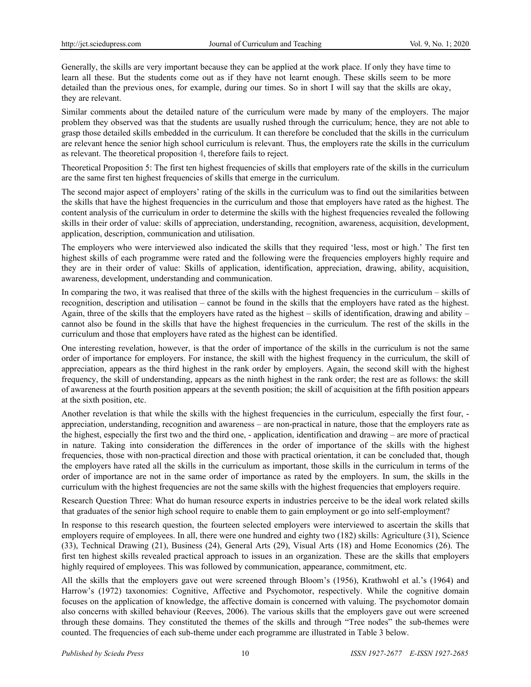Generally, the skills are very important because they can be applied at the work place. If only they have time to learn all these. But the students come out as if they have not learnt enough. These skills seem to be more detailed than the previous ones, for example, during our times. So in short I will say that the skills are okay, they are relevant.

Similar comments about the detailed nature of the curriculum were made by many of the employers. The major problem they observed was that the students are usually rushed through the curriculum; hence, they are not able to grasp those detailed skills embedded in the curriculum. It can therefore be concluded that the skills in the curriculum are relevant hence the senior high school curriculum is relevant. Thus, the employers rate the skills in the curriculum as relevant. The theoretical proposition 4, therefore fails to reject.

Theoretical Proposition 5: The first ten highest frequencies of skills that employers rate of the skills in the curriculum are the same first ten highest frequencies of skills that emerge in the curriculum.

The second major aspect of employers' rating of the skills in the curriculum was to find out the similarities between the skills that have the highest frequencies in the curriculum and those that employers have rated as the highest. The content analysis of the curriculum in order to determine the skills with the highest frequencies revealed the following skills in their order of value: skills of appreciation, understanding, recognition, awareness, acquisition, development, application, description, communication and utilisation.

The employers who were interviewed also indicated the skills that they required 'less, most or high.' The first ten highest skills of each programme were rated and the following were the frequencies employers highly require and they are in their order of value: Skills of application, identification, appreciation, drawing, ability, acquisition, awareness, development, understanding and communication.

In comparing the two, it was realised that three of the skills with the highest frequencies in the curriculum – skills of recognition, description and utilisation – cannot be found in the skills that the employers have rated as the highest. Again, three of the skills that the employers have rated as the highest – skills of identification, drawing and ability – cannot also be found in the skills that have the highest frequencies in the curriculum. The rest of the skills in the curriculum and those that employers have rated as the highest can be identified.

One interesting revelation, however, is that the order of importance of the skills in the curriculum is not the same order of importance for employers. For instance, the skill with the highest frequency in the curriculum, the skill of appreciation, appears as the third highest in the rank order by employers. Again, the second skill with the highest frequency, the skill of understanding, appears as the ninth highest in the rank order; the rest are as follows: the skill of awareness at the fourth position appears at the seventh position; the skill of acquisition at the fifth position appears at the sixth position, etc.

Another revelation is that while the skills with the highest frequencies in the curriculum, especially the first four, appreciation, understanding, recognition and awareness – are non-practical in nature, those that the employers rate as the highest, especially the first two and the third one, - application, identification and drawing – are more of practical in nature. Taking into consideration the differences in the order of importance of the skills with the highest frequencies, those with non-practical direction and those with practical orientation, it can be concluded that, though the employers have rated all the skills in the curriculum as important, those skills in the curriculum in terms of the order of importance are not in the same order of importance as rated by the employers. In sum, the skills in the curriculum with the highest frequencies are not the same skills with the highest frequencies that employers require.

Research Question Three: What do human resource experts in industries perceive to be the ideal work related skills that graduates of the senior high school require to enable them to gain employment or go into self-employment?

In response to this research question, the fourteen selected employers were interviewed to ascertain the skills that employers require of employees. In all, there were one hundred and eighty two (182) skills: Agriculture (31), Science (33), Technical Drawing (21), Business (24), General Arts (29), Visual Arts (18) and Home Economics (26). The first ten highest skills revealed practical approach to issues in an organization. These are the skills that employers highly required of employees. This was followed by communication, appearance, commitment, etc.

All the skills that the employers gave out were screened through Bloom's (1956), Krathwohl et al.'s (1964) and Harrow's (1972) taxonomies: Cognitive, Affective and Psychomotor, respectively. While the cognitive domain focuses on the application of knowledge, the affective domain is concerned with valuing. The psychomotor domain also concerns with skilled behaviour (Reeves, 2006). The various skills that the employers gave out were screened through these domains. They constituted the themes of the skills and through "Tree nodes" the sub-themes were counted. The frequencies of each sub-theme under each programme are illustrated in Table 3 below.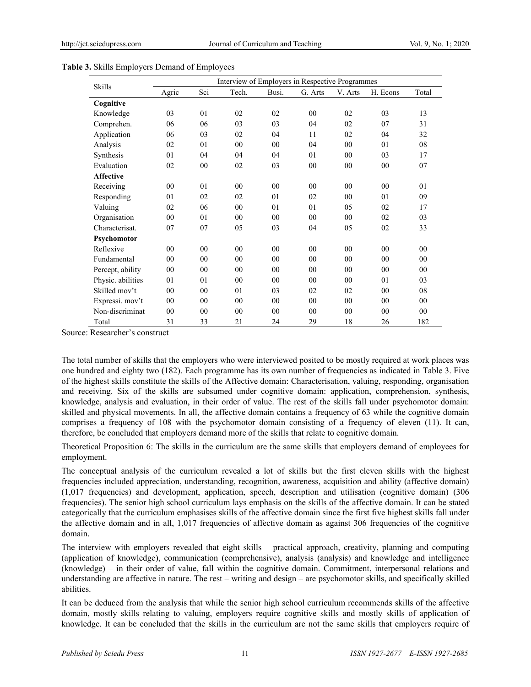| Skills            | Interview of Employers in Respective Programmes |                |                |                |                 |                |                |                |
|-------------------|-------------------------------------------------|----------------|----------------|----------------|-----------------|----------------|----------------|----------------|
|                   | Agric                                           | Sci            | Tech.          | Busi.          | G. Arts         | V. Arts        | H. Econs       | Total          |
| Cognitive         |                                                 |                |                |                |                 |                |                |                |
| Knowledge         | 03                                              | 01             | 02             | 02             | 0 <sub>0</sub>  | 02             | 03             | 13             |
| Comprehen.        | 06                                              | 06             | 03             | 03             | 04              | 02             | 07             | 31             |
| Application       | 06                                              | 03             | 02             | 04             | 11              | 02             | 04             | 32             |
| Analysis          | 02                                              | 01             | 00             | 0 <sub>0</sub> | 04              | 0 <sub>0</sub> | 01             | 08             |
| Synthesis         | 01                                              | 04             | 04             | 04             | 01              | 0 <sub>0</sub> | 03             | 17             |
| Evaluation        | 02                                              | 00             | 02             | 03             | 00              | 00             | 00             | 07             |
| <b>Affective</b>  |                                                 |                |                |                |                 |                |                |                |
| Receiving         | 0 <sub>0</sub>                                  | 01             | 0 <sub>0</sub> | 0 <sub>0</sub> | 0 <sub>0</sub>  | 0 <sub>0</sub> | 0 <sub>0</sub> | 01             |
| Responding        | 01                                              | 02             | 02             | 01             | 02              | 0 <sub>0</sub> | 01             | 09             |
| Valuing           | 02                                              | 06             | 00             | 01             | 01              | 05             | 02             | 17             |
| Organisation      | 0 <sub>0</sub>                                  | 01             | 0 <sub>0</sub> | 0 <sub>0</sub> | 0 <sub>0</sub>  | 0 <sub>0</sub> | 02             | 03             |
| Characterisat.    | 07                                              | 07             | 05             | 03             | 04              | 05             | 02             | 33             |
| Psychomotor       |                                                 |                |                |                |                 |                |                |                |
| Reflexive         | 0 <sub>0</sub>                                  | 00             | 00             | 0 <sub>0</sub> | 00              | 00             | 0 <sub>0</sub> | 00             |
| Fundamental       | 0 <sub>0</sub>                                  | 0 <sub>0</sub> | 0 <sub>0</sub> | 0 <sub>0</sub> | 0 <sub>0</sub>  | 0 <sub>0</sub> | 0 <sub>0</sub> | 0 <sub>0</sub> |
| Percept, ability  | 00                                              | 00             | 0 <sub>0</sub> | 0 <sub>0</sub> | 0 <sub>0</sub>  | 00             | 00             | 00             |
| Physic. abilities | 01                                              | 01             | 0 <sub>0</sub> | 0 <sub>0</sub> | 0 <sub>0</sub>  | 0 <sub>0</sub> | 01             | 03             |
| Skilled mov't     | 0 <sub>0</sub>                                  | 0 <sub>0</sub> | 01             | 03             | 02              | 02             | 0 <sub>0</sub> | 08             |
| Expressi. mov't   | 00                                              | 00             | 00             | 0 <sub>0</sub> | 00              | 00             | 00             | 00             |
| Non-discriminat   | 0 <sub>0</sub>                                  | 0 <sub>0</sub> | 0 <sub>0</sub> | 0 <sub>0</sub> | 00 <sup>2</sup> | 0 <sub>0</sub> | 0 <sub>0</sub> | 0 <sub>0</sub> |
| Total             | 31                                              | 33             | 21             | 24             | 29              | 18             | 26             | 182            |

#### **Table 3.** Skills Employers Demand of Employees

Source: Researcher's construct

The total number of skills that the employers who were interviewed posited to be mostly required at work places was one hundred and eighty two (182). Each programme has its own number of frequencies as indicated in Table 3. Five of the highest skills constitute the skills of the Affective domain: Characterisation, valuing, responding, organisation and receiving. Six of the skills are subsumed under cognitive domain: application, comprehension, synthesis, knowledge, analysis and evaluation, in their order of value. The rest of the skills fall under psychomotor domain: skilled and physical movements. In all, the affective domain contains a frequency of 63 while the cognitive domain comprises a frequency of 108 with the psychomotor domain consisting of a frequency of eleven (11). It can, therefore, be concluded that employers demand more of the skills that relate to cognitive domain.

Theoretical Proposition 6: The skills in the curriculum are the same skills that employers demand of employees for employment.

The conceptual analysis of the curriculum revealed a lot of skills but the first eleven skills with the highest frequencies included appreciation, understanding, recognition, awareness, acquisition and ability (affective domain) (1,017 frequencies) and development, application, speech, description and utilisation (cognitive domain) (306 frequencies). The senior high school curriculum lays emphasis on the skills of the affective domain. It can be stated categorically that the curriculum emphasises skills of the affective domain since the first five highest skills fall under the affective domain and in all, 1,017 frequencies of affective domain as against 306 frequencies of the cognitive domain.

The interview with employers revealed that eight skills – practical approach, creativity, planning and computing (application of knowledge), communication (comprehensive), analysis (analysis) and knowledge and intelligence (knowledge) – in their order of value, fall within the cognitive domain. Commitment, interpersonal relations and understanding are affective in nature. The rest – writing and design – are psychomotor skills, and specifically skilled abilities.

It can be deduced from the analysis that while the senior high school curriculum recommends skills of the affective domain, mostly skills relating to valuing, employers require cognitive skills and mostly skills of application of knowledge. It can be concluded that the skills in the curriculum are not the same skills that employers require of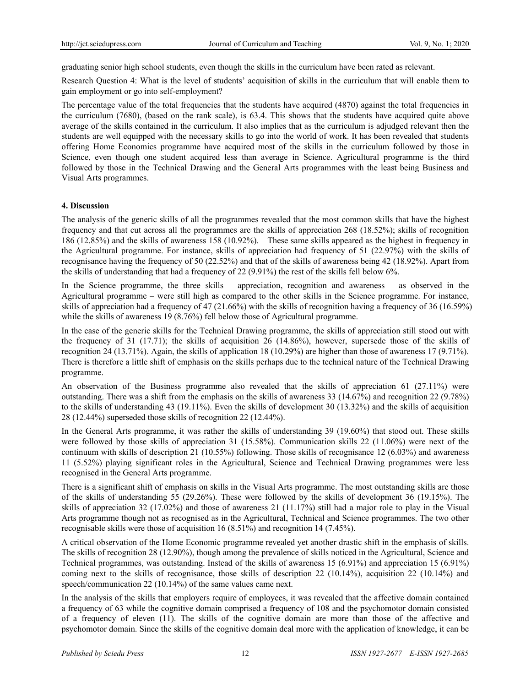graduating senior high school students, even though the skills in the curriculum have been rated as relevant.

Research Question 4: What is the level of students' acquisition of skills in the curriculum that will enable them to gain employment or go into self-employment?

The percentage value of the total frequencies that the students have acquired (4870) against the total frequencies in the curriculum (7680), (based on the rank scale), is 63.4. This shows that the students have acquired quite above average of the skills contained in the curriculum. It also implies that as the curriculum is adjudged relevant then the students are well equipped with the necessary skills to go into the world of work. It has been revealed that students offering Home Economics programme have acquired most of the skills in the curriculum followed by those in Science, even though one student acquired less than average in Science. Agricultural programme is the third followed by those in the Technical Drawing and the General Arts programmes with the least being Business and Visual Arts programmes.

### **4. Discussion**

The analysis of the generic skills of all the programmes revealed that the most common skills that have the highest frequency and that cut across all the programmes are the skills of appreciation 268 (18.52%); skills of recognition 186 (12.85%) and the skills of awareness 158 (10.92%). These same skills appeared as the highest in frequency in the Agricultural programme. For instance, skills of appreciation had frequency of 51 (22.97%) with the skills of recognisance having the frequency of 50 (22.52%) and that of the skills of awareness being 42 (18.92%). Apart from the skills of understanding that had a frequency of 22 (9.91%) the rest of the skills fell below 6%.

In the Science programme, the three skills – appreciation, recognition and awareness – as observed in the Agricultural programme – were still high as compared to the other skills in the Science programme. For instance, skills of appreciation had a frequency of 47 (21.66%) with the skills of recognition having a frequency of 36 (16.59%) while the skills of awareness 19 (8.76%) fell below those of Agricultural programme.

In the case of the generic skills for the Technical Drawing programme, the skills of appreciation still stood out with the frequency of 31 (17.71); the skills of acquisition 26 (14.86%), however, supersede those of the skills of recognition 24 (13.71%). Again, the skills of application 18 (10.29%) are higher than those of awareness 17 (9.71%). There is therefore a little shift of emphasis on the skills perhaps due to the technical nature of the Technical Drawing programme.

An observation of the Business programme also revealed that the skills of appreciation 61 (27.11%) were outstanding. There was a shift from the emphasis on the skills of awareness 33 (14.67%) and recognition 22 (9.78%) to the skills of understanding 43 (19.11%). Even the skills of development 30 (13.32%) and the skills of acquisition 28 (12.44%) superseded those skills of recognition 22 (12.44%).

In the General Arts programme, it was rather the skills of understanding 39 (19.60%) that stood out. These skills were followed by those skills of appreciation 31 (15.58%). Communication skills 22 (11.06%) were next of the continuum with skills of description 21 (10.55%) following. Those skills of recognisance 12 (6.03%) and awareness 11 (5.52%) playing significant roles in the Agricultural, Science and Technical Drawing programmes were less recognised in the General Arts programme.

There is a significant shift of emphasis on skills in the Visual Arts programme. The most outstanding skills are those of the skills of understanding 55 (29.26%). These were followed by the skills of development 36 (19.15%). The skills of appreciation 32 (17.02%) and those of awareness 21 (11.17%) still had a major role to play in the Visual Arts programme though not as recognised as in the Agricultural, Technical and Science programmes. The two other recognisable skills were those of acquisition 16 (8.51%) and recognition 14 (7.45%).

A critical observation of the Home Economic programme revealed yet another drastic shift in the emphasis of skills. The skills of recognition 28 (12.90%), though among the prevalence of skills noticed in the Agricultural, Science and Technical programmes, was outstanding. Instead of the skills of awareness 15 (6.91%) and appreciation 15 (6.91%) coming next to the skills of recognisance, those skills of description 22 (10.14%), acquisition 22 (10.14%) and speech/communication 22 (10.14%) of the same values came next.

In the analysis of the skills that employers require of employees, it was revealed that the affective domain contained a frequency of 63 while the cognitive domain comprised a frequency of 108 and the psychomotor domain consisted of a frequency of eleven (11). The skills of the cognitive domain are more than those of the affective and psychomotor domain. Since the skills of the cognitive domain deal more with the application of knowledge, it can be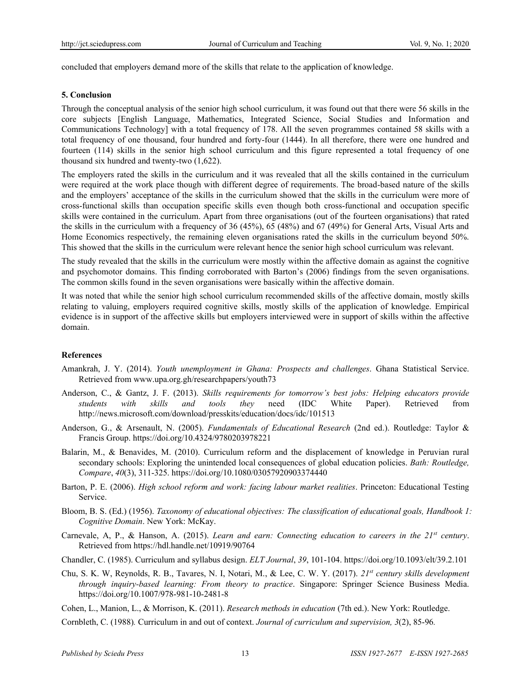concluded that employers demand more of the skills that relate to the application of knowledge.

#### **5. Conclusion**

Through the conceptual analysis of the senior high school curriculum, it was found out that there were 56 skills in the core subjects [English Language, Mathematics, Integrated Science, Social Studies and Information and Communications Technology] with a total frequency of 178. All the seven programmes contained 58 skills with a total frequency of one thousand, four hundred and forty-four (1444). In all therefore, there were one hundred and fourteen (114) skills in the senior high school curriculum and this figure represented a total frequency of one thousand six hundred and twenty-two (1,622).

The employers rated the skills in the curriculum and it was revealed that all the skills contained in the curriculum were required at the work place though with different degree of requirements. The broad-based nature of the skills and the employers' acceptance of the skills in the curriculum showed that the skills in the curriculum were more of cross-functional skills than occupation specific skills even though both cross-functional and occupation specific skills were contained in the curriculum. Apart from three organisations (out of the fourteen organisations) that rated the skills in the curriculum with a frequency of 36 (45%), 65 (48%) and 67 (49%) for General Arts, Visual Arts and Home Economics respectively, the remaining eleven organisations rated the skills in the curriculum beyond 50%. This showed that the skills in the curriculum were relevant hence the senior high school curriculum was relevant.

The study revealed that the skills in the curriculum were mostly within the affective domain as against the cognitive and psychomotor domains. This finding corroborated with Barton's (2006) findings from the seven organisations. The common skills found in the seven organisations were basically within the affective domain.

It was noted that while the senior high school curriculum recommended skills of the affective domain, mostly skills relating to valuing, employers required cognitive skills, mostly skills of the application of knowledge. Empirical evidence is in support of the affective skills but employers interviewed were in support of skills within the affective domain.

## **References**

- Amankrah, J. Y. (2014). *Youth unemployment in Ghana: Prospects and challenges*. Ghana Statistical Service. Retrieved from www.upa.org.gh/researchpapers/youth73
- Anderson, C., & Gantz, J. F. (2013). *Skills requirements for tomorrow's best jobs: Helping educators provide students with skills and tools they* need (IDC White Paper). Retrieved from http://news.microsoft.com/download/presskits/education/docs/idc/101513
- Anderson, G., & Arsenault, N. (2005). *Fundamentals of Educational Research* (2nd ed.). Routledge: Taylor & Francis Group. https://doi.org/10.4324/9780203978221
- Balarin, M., & Benavides, M. (2010). Curriculum reform and the displacement of knowledge in Peruvian rural secondary schools: Exploring the unintended local consequences of global education policies. *Bath: Routledge, Compare*, *40*(3), 311-325. https://doi.org/10.1080/03057920903374440
- Barton, P. E. (2006). *High school reform and work: facing labour market realities*. Princeton: Educational Testing Service.
- Bloom, B. S. (Ed.) (1956). *Taxonomy of educational objectives: The classification of educational goals, Handbook 1: Cognitive Domain*. New York: McKay.
- Carnevale, A, P., & Hanson, A. (2015). *Learn and earn: Connecting education to careers in the 21st century*. Retrieved from https://hdl.handle.net/10919/90764
- Chandler, C. (1985). Curriculum and syllabus design. *ELT Journal*, *39*, 101-104. https://doi.org/10.1093/elt/39.2.101
- Chu, S. K. W, Reynolds, R. B., Tavares, N. I, Notari, M., & Lee, C. W. Y. (2017). *21st century skills development through inquiry-based learning: From theory to practice*. Singapore: Springer Science Business Media. https://doi.org/10.1007/978-981-10-2481-8
- Cohen, L., Manion, L., & Morrison, K. (2011). *Research methods in education* (7th ed.). New York: Routledge.
- Cornbleth, C. (1988)*.* Curriculum in and out of context. *Journal of curriculum and supervision, 3*(2), 85-96*.*